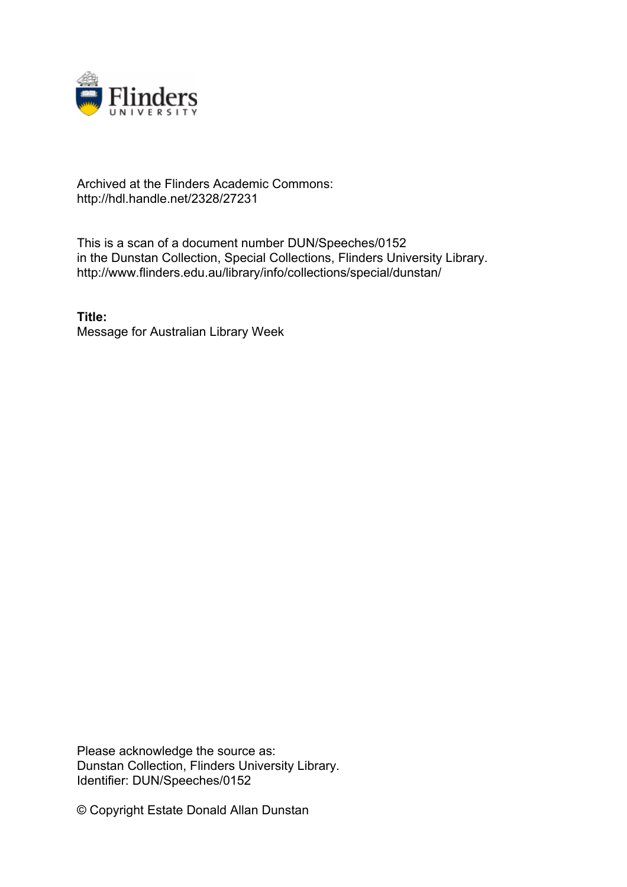

## Archived at the Flinders Academic Commons: http://hdl.handle.net/2328/27231

This is a scan of a document number DUN/Speeches/0152 in the Dunstan Collection, Special Collections, Flinders University Library. http://www.flinders.edu.au/library/info/collections/special/dunstan/

**Title:** Message for Australian Library Week

Please acknowledge the source as: Dunstan Collection, Flinders University Library. Identifier: DUN/Speeches/0152

© Copyright Estate Donald Allan Dunstan